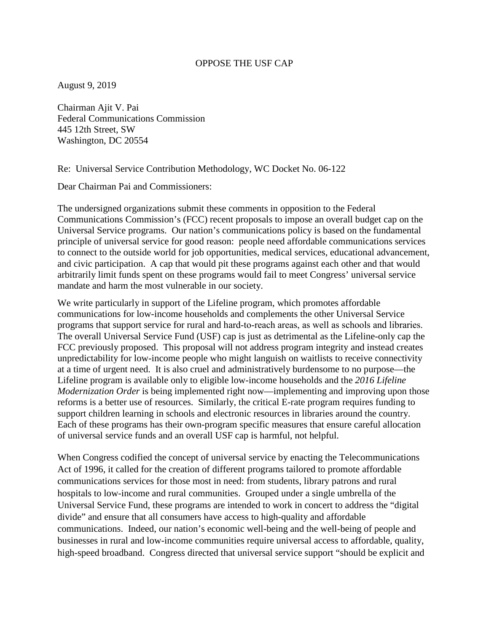## OPPOSE THE USF CAP

August 9, 2019

Chairman Ajit V. Pai Federal Communications Commission 445 12th Street, SW Washington, DC 20554

Re: Universal Service Contribution Methodology, WC Docket No. 06-122

Dear Chairman Pai and Commissioners:

The undersigned organizations submit these comments in opposition to the Federal Communications Commission's (FCC) recent proposals to impose an overall budget cap on the Universal Service programs. Our nation's communications policy is based on the fundamental principle of universal service for good reason: people need affordable communications services to connect to the outside world for job opportunities, medical services, educational advancement, and civic participation. A cap that would pit these programs against each other and that would arbitrarily limit funds spent on these programs would fail to meet Congress' universal service mandate and harm the most vulnerable in our society.

We write particularly in support of the Lifeline program, which promotes affordable communications for low-income households and complements the other Universal Service programs that support service for rural and hard‐to‐reach areas, as well as schools and libraries. The overall Universal Service Fund (USF) cap is just as detrimental as the Lifeline-only cap the FCC previously proposed. This proposal will not address program integrity and instead creates unpredictability for low-income people who might languish on waitlists to receive connectivity at a time of urgent need. It is also cruel and administratively burdensome to no purpose—the Lifeline program is available only to eligible low-income households and the *2016 Lifeline Modernization Order* is being implemented right now—implementing and improving upon those reforms is a better use of resources. Similarly, the critical E-rate program requires funding to support children learning in schools and electronic resources in libraries around the country. Each of these programs has their own-program specific measures that ensure careful allocation of universal service funds and an overall USF cap is harmful, not helpful.

When Congress codified the concept of universal service by enacting the Telecommunications Act of 1996, it called for the creation of different programs tailored to promote affordable communications services for those most in need: from students, library patrons and rural hospitals to low-income and rural communities. Grouped under a single umbrella of the Universal Service Fund, these programs are intended to work in concert to address the "digital divide" and ensure that all consumers have access to high-quality and affordable communications. Indeed, our nation's economic well-being and the well-being of people and businesses in rural and low-income communities require universal access to affordable, quality, high-speed broadband. Congress directed that universal service support "should be explicit and